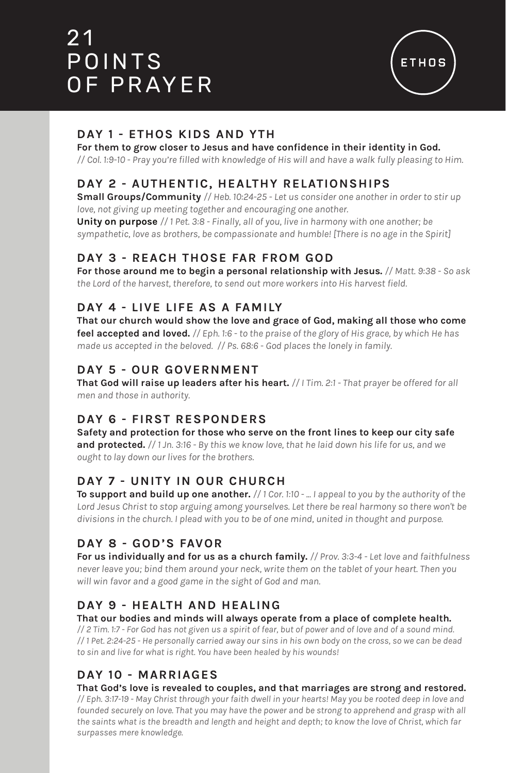# 2 1 POINTS OF PRAYER



# **DAY 1 - ETHOS KIDS AND YTH**

**For them to grow closer to Jesus and have confidence in their identity in God.**

*// Col. 1:9-10 - Pray you're filled with knowledge of His will and have a walk fully pleasing to Him.*

# **DAY 2 - AUTHENTIC, HEALTHY RELATIONSHIPS**

**Small Groups/Community** *// Heb. 10:24-25 - Let us consider one another in order to stir up love, not giving up meeting together and encouraging one another.*

**Unity on purpose** *// 1 Pet. 3:8 - Finally, all of you, live in harmony with one another; be sympathetic, love as brothers, be compassionate and humble! [There is no age in the Spirit]*

# **DAY 3 - REACH THOSE FAR FROM GOD**

**For those around me to begin a personal relationship with Jesus.** *// Matt. 9:38 - So ask the Lord of the harvest, therefore, to send out more workers into His harvest field.*

## **DAY 4 - LIVE LIFE AS A FAMILY**

**That our church would show the love and grace of God, making all those who come feel accepted and loved.** *// Eph. 1:6 - to the praise of the glory of His grace, by which He has made us accepted in the beloved. // Ps. 68:6 - God places the lonely in family.*

# **DAY 5 - OUR GOVERNMENT**

**That God will raise up leaders after his heart.** *// I Tim. 2:1 - That prayer be offered for all men and those in authority.* 

# **DAY 6 - FIRST RESPONDERS**

**Safety and protection for those who serve on the front lines to keep our city safe and protected.** *// 1 Jn. 3:16 - By this we know love, that he laid down his life for us, and we ought to lay down our lives for the brothers.* 

# **DAY 7 - UNITY IN OUR CHURCH**

**To support and build up one another.** *// 1 Cor. 1:10 - ... I appeal to you by the authority of the Lord Jesus Christ to stop arguing among yourselves. Let there be real harmony so there won't be divisions in the church. I plead with you to be of one mind, united in thought and purpose.*

# **DAY 8 - GOD'S FAVOR**

**For us individually and for us as a church family.** *// Prov. 3:3-4 - Let love and faithfulness never leave you; bind them around your neck, write them on the tablet of your heart. Then you will win favor and a good game in the sight of God and man.*

## **DAY 9 - HEALTH AND HEALING**

**That our bodies and minds will always operate from a place of complete health.**

*// 2 Tim. 1:7 - For God has not given us a spirit of fear, but of power and of love and of a sound mind. // 1 Pet. 2:24-25 - He personally carried away our sins in his own body on the cross, so we can be dead to sin and live for what is right. You have been healed by his wounds!* 

# **DAY 10 - MARRIAGES**

#### **That God's love is revealed to couples, and that marriages are strong and restored.**

*// Eph. 3:17-19 - May Christ through your faith dwell in your hearts! May you be rooted deep in love and*  founded securely on love. That you may have the power and be strong to apprehend and grasp with all *the saints what is the breadth and length and height and depth; to know the love of Christ, which far surpasses mere knowledge.*